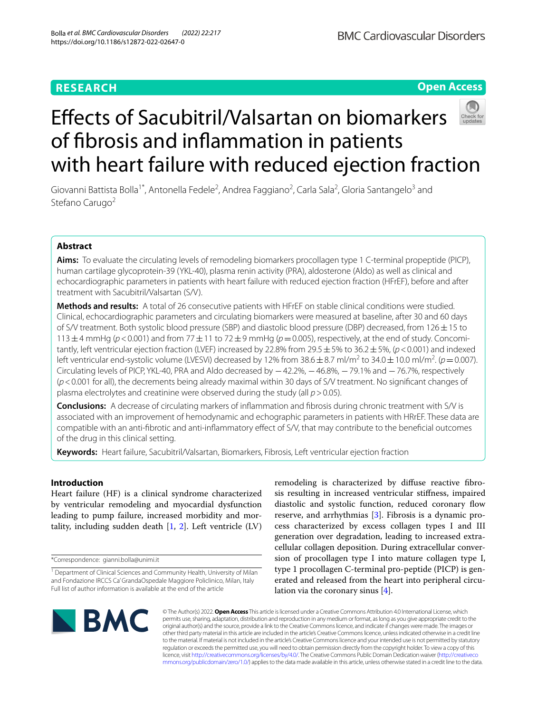# **RESEARCH**

**Open Access**

# Efects of Sacubitril/Valsartan on biomarkers of fbrosis and infammation in patients with heart failure with reduced ejection fraction

Giovanni Battista Bolla<sup>1\*</sup>, Antonella Fedele<sup>2</sup>, Andrea Faggiano<sup>2</sup>, Carla Sala<sup>2</sup>, Gloria Santangelo<sup>3</sup> and Stefano Carugo<sup>2</sup>

# **Abstract**

**Aims:** To evaluate the circulating levels of remodeling biomarkers procollagen type 1 C-terminal propeptide (PICP), human cartilage glycoprotein-39 (YKL-40), plasma renin activity (PRA), aldosterone (Aldo) as well as clinical and echocardiographic parameters in patients with heart failure with reduced ejection fraction (HFrEF), before and after treatment with Sacubitril/Valsartan (S/V).

**Methods and results:** A total of 26 consecutive patients with HFrEF on stable clinical conditions were studied. Clinical, echocardiographic parameters and circulating biomarkers were measured at baseline, after 30 and 60 days of S/V treatment. Both systolic blood pressure (SBP) and diastolic blood pressure (DBP) decreased, from 126 $\pm$ 15 to 113 $\pm$ 4 mmHg ( $p$ <0.001) and from 77 $\pm$ 11 to 72 $\pm$ 9 mmHg ( $p$  = 0.005), respectively, at the end of study. Concomitantly, left ventricular ejection fraction (LVEF) increased by 22.8% from 29.5±5% to 36.2±5%, (*p*<0.001) and indexed left ventricular end-systolic volume (LVESVi) decreased by 12% from 38.6  $\pm$  8.7 ml/m<sup>2</sup> to 34.0  $\pm$  10.0 ml/m<sup>2</sup>. ( $p$  = 0.007). Circulating levels of PICP, YKL-40, PRA and Aldo decreased by −42.2%, −46.8%, −79.1% and −76.7%, respectively (*p*<0.001 for all), the decrements being already maximal within 30 days of S/V treatment. No signifcant changes of plasma electrolytes and creatinine were observed during the study (all *p*>0.05).

**Conclusions:** A decrease of circulating markers of infammation and fbrosis during chronic treatment with S/V is associated with an improvement of hemodynamic and echographic parameters in patients with HRrEF. These data are compatible with an anti-fbrotic and anti-infammatory efect of S/V, that may contribute to the benefcial outcomes of the drug in this clinical setting.

**Keywords:** Heart failure, Sacubitril/Valsartan, Biomarkers, Fibrosis, Left ventricular ejection fraction

# **Introduction**

Heart failure (HF) is a clinical syndrome characterized by ventricular remodeling and myocardial dysfunction leading to pump failure, increased morbidity and mortality, including sudden death [[1,](#page-6-0) [2\]](#page-6-1). Left ventricle (LV)

\*Correspondence: gianni.bolla@unimi.it

remodeling is characterized by difuse reactive fbrosis resulting in increased ventricular stifness, impaired diastolic and systolic function, reduced coronary fow reserve, and arrhythmias [\[3](#page-6-2)]. Fibrosis is a dynamic process characterized by excess collagen types I and III generation over degradation, leading to increased extracellular collagen deposition. During extracellular conversion of procollagen type I into mature collagen type I, type 1 procollagen C-terminal pro-peptide (PICP) is generated and released from the heart into peripheral circulation via the coronary sinus [[4](#page-6-3)].



© The Author(s) 2022. **Open Access** This article is licensed under a Creative Commons Attribution 4.0 International License, which permits use, sharing, adaptation, distribution and reproduction in any medium or format, as long as you give appropriate credit to the original author(s) and the source, provide a link to the Creative Commons licence, and indicate if changes were made. The images or other third party material in this article are included in the article's Creative Commons licence, unless indicated otherwise in a credit line to the material. If material is not included in the article's Creative Commons licence and your intended use is not permitted by statutory regulation or exceeds the permitted use, you will need to obtain permission directly from the copyright holder. To view a copy of this licence, visit [http://creativecommons.org/licenses/by/4.0/.](http://creativecommons.org/licenses/by/4.0/) The Creative Commons Public Domain Dedication waiver ([http://creativeco](http://creativecommons.org/publicdomain/zero/1.0/) [mmons.org/publicdomain/zero/1.0/](http://creativecommons.org/publicdomain/zero/1.0/)) applies to the data made available in this article, unless otherwise stated in a credit line to the data.

<sup>&</sup>lt;sup>1</sup> Department of Clinical Sciences and Community Health, University of Milan and Fondazione IRCCS Ca' GrandaOspedale Maggiore Policlinico, Milan, Italy Full list of author information is available at the end of the article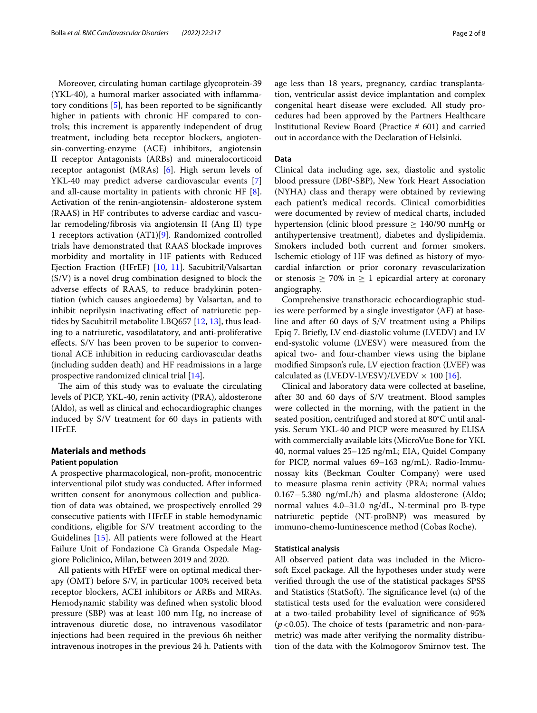Moreover, circulating human cartilage glycoprotein-39 (YKL-40), a humoral marker associated with infammatory conditions [[5\]](#page-6-4), has been reported to be signifcantly higher in patients with chronic HF compared to controls; this increment is apparently independent of drug treatment, including beta receptor blockers, angiotensin-converting-enzyme (ACE) inhibitors, angiotensin II receptor Antagonists (ARBs) and mineralocorticoid receptor antagonist (MRAs) [\[6](#page-6-5)]. High serum levels of YKL-40 may predict adverse cardiovascular events [\[7](#page-6-6)] and all-cause mortality in patients with chronic HF [\[8](#page-6-7)]. Activation of the renin-angiotensin- aldosterone system (RAAS) in HF contributes to adverse cardiac and vascular remodeling/fbrosis via angiotensin II (Ang II) type 1 receptors activation (AT1)[[9\]](#page-6-8). Randomized controlled trials have demonstrated that RAAS blockade improves morbidity and mortality in HF patients with Reduced Ejection Fraction (HFrEF) [[10](#page-6-9), [11\]](#page-6-10). Sacubitril/Valsartan (S/V) is a novel drug combination designed to block the adverse efects of RAAS, to reduce bradykinin potentiation (which causes angioedema) by Valsartan, and to inhibit neprilysin inactivating efect of natriuretic peptides by Sacubitril metabolite LBQ657 [\[12,](#page-6-11) [13](#page-6-12)], thus leading to a natriuretic, vasodilatatory, and anti-proliferative efects. S/V has been proven to be superior to conventional ACE inhibition in reducing cardiovascular deaths (including sudden death) and HF readmissions in a large prospective randomized clinical trial [[14\]](#page-6-13).

The aim of this study was to evaluate the circulating levels of PICP, YKL-40, renin activity (PRA), aldosterone (Aldo), as well as clinical and echocardiographic changes induced by S/V treatment for 60 days in patients with HFrEF.

# **Materials and methods**

#### **Patient population**

A prospective pharmacological, non-proft, monocentric interventional pilot study was conducted. After informed written consent for anonymous collection and publication of data was obtained, we prospectively enrolled 29 consecutive patients with HFrEF in stable hemodynamic conditions, eligible for S/V treatment according to the Guidelines [\[15](#page-6-14)]. All patients were followed at the Heart Failure Unit of Fondazione Cà Granda Ospedale Maggiore Policlinico, Milan, between 2019 and 2020.

All patients with HFrEF were on optimal medical therapy (OMT) before S/V, in particular 100% received beta receptor blockers, ACEI inhibitors or ARBs and MRAs. Hemodynamic stability was defned when systolic blood pressure (SBP) was at least 100 mm Hg, no increase of intravenous diuretic dose, no intravenous vasodilator injections had been required in the previous 6h neither intravenous inotropes in the previous 24 h. Patients with age less than 18 years, pregnancy, cardiac transplantation, ventricular assist device implantation and complex congenital heart disease were excluded. All study procedures had been approved by the Partners Healthcare Institutional Review Board (Practice # 601) and carried out in accordance with the Declaration of Helsinki.

# **Data**

Clinical data including age, sex, diastolic and systolic blood pressure (DBP-SBP), New York Heart Association (NYHA) class and therapy were obtained by reviewing each patient's medical records. Clinical comorbidities were documented by review of medical charts, included hypertension (clinic blood pressure  $\geq 140/90$  mmHg or antihypertensive treatment), diabetes and dyslipidemia. Smokers included both current and former smokers. Ischemic etiology of HF was defned as history of myocardial infarction or prior coronary revascularization or stenosis  $\geq$  70% in  $\geq$  1 epicardial artery at coronary angiography.

Comprehensive transthoracic echocardiographic studies were performed by a single investigator (AF) at baseline and after 60 days of S/V treatment using a Philips Epiq 7. Briefy, LV end-diastolic volume (LVEDV) and LV end-systolic volume (LVESV) were measured from the apical two- and four-chamber views using the biplane modifed Simpson's rule, LV ejection fraction (LVEF) was calculated as (LVEDV-LVESV)/LVEDV  $\times$  100 [[16\]](#page-6-15).

Clinical and laboratory data were collected at baseline, after 30 and 60 days of S/V treatment. Blood samples were collected in the morning, with the patient in the seated position, centrifuged and stored at 80°C until analysis. Serum YKL-40 and PICP were measured by ELISA with commercially available kits (MicroVue Bone for YKL 40, normal values 25–125 ng/mL; EIA, Quidel Company for PICP, normal values 69–163 ng/mL). Radio-Immunossay kits (Beckman Coulter Company) were used to measure plasma renin activity (PRA; normal values 0.167−5.380 ng/mL/h) and plasma aldosterone (Aldo; normal values 4.0–31.0 ng/dL, N-terminal pro B-type natriuretic peptide (NT-proBNP) was measured by immuno-chemo-luminescence method (Cobas Roche).

## **Statistical analysis**

All observed patient data was included in the Microsoft Excel package. All the hypotheses under study were verifed through the use of the statistical packages SPSS and Statistics (StatSoft). The significance level  $(\alpha)$  of the statistical tests used for the evaluation were considered at a two-tailed probability level of signifcance of 95%  $(p<0.05)$ . The choice of tests (parametric and non-parametric) was made after verifying the normality distribution of the data with the Kolmogorov Smirnov test. The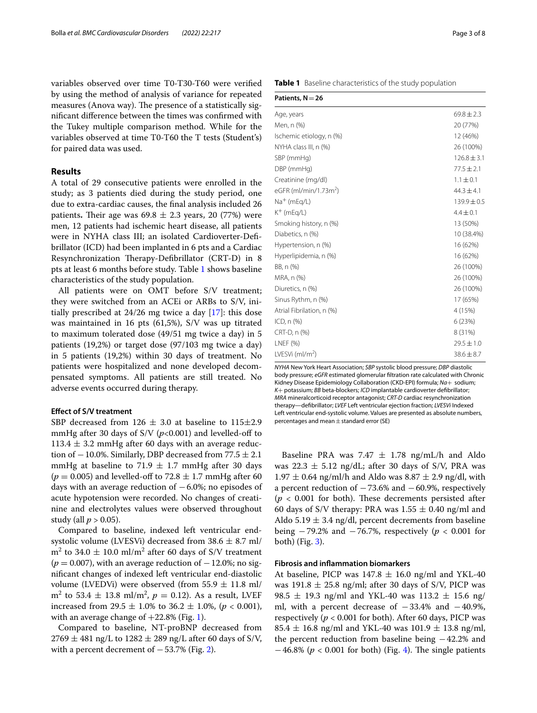variables observed over time T0-T30-T60 were verifed by using the method of analysis of variance for repeated measures (Anova way). The presence of a statistically signifcant diference between the times was confrmed with the Tukey multiple comparison method. While for the variables observed at time T0-T60 the T tests (Student's) for paired data was used.

# **Results**

A total of 29 consecutive patients were enrolled in the study; as 3 patients died during the study period, one due to extra-cardiac causes, the fnal analysis included 26 patients. Their age was  $69.8 \pm 2.3$  years, 20 (77%) were men, 12 patients had ischemic heart disease, all patients were in NYHA class III; an isolated Cardioverter-Defbrillator (ICD) had been implanted in 6 pts and a Cardiac Resynchronization Therapy-Defibrillator (CRT-D) in 8 pts at least 6 months before study. Table [1](#page-2-0) shows baseline characteristics of the study population.

All patients were on OMT before S/V treatment; they were switched from an ACEi or ARBs to S/V, initially prescribed at 24/26 mg twice a day [[17](#page-6-16)]: this dose was maintained in 16 pts (61,5%), S/V was up titrated to maximum tolerated dose (49/51 mg twice a day) in 5 patients (19,2%) or target dose (97/103 mg twice a day) in 5 patients (19,2%) within 30 days of treatment. No patients were hospitalized and none developed decompensated symptoms. All patients are still treated. No adverse events occurred during therapy.

# **Efect of S/V treatment**

SBP decreased from 126  $\pm$  3.0 at baseline to 115 $\pm$ 2.9 mmHg after 30 days of S/V ( $p$ <0.001) and levelled-off to 113.4  $\pm$  3.2 mmHg after 60 days with an average reduction of  $-10.0$ %. Similarly, DBP decreased from 77.5  $\pm$  2.1 mmHg at baseline to 71.9  $\pm$  1.7 mmHg after 30 days  $(p = 0.005)$  and levelled-off to 72.8  $\pm$  1.7 mmHg after 60 days with an average reduction of  $-6.0\%$ ; no episodes of acute hypotension were recorded. No changes of creatinine and electrolytes values were observed throughout study (all  $p > 0.05$ ).

Compared to baseline, indexed left ventricular endsystolic volume (LVESVi) decreased from  $38.6 \pm 8.7$  ml/  $\text{m}^2$  to 34.0  $\pm$  10.0 ml/m<sup>2</sup> after 60 days of S/V treatment  $(p = 0.007)$ , with an average reduction of  $-12.0\%$ ; no signifcant changes of indexed left ventricular end-diastolic volume (LVEDVi) were observed (from  $55.9 \pm 11.8$  ml/  $m^2$  to 53.4  $\pm$  13.8 ml/m<sup>2</sup>,  $p = 0.12$ ). As a result, LVEF increased from 29.5  $\pm$  1.0% to 36.2  $\pm$  1.0%, (*p* < 0.001), with an average change of  $+22.8\%$  (Fig. [1](#page-3-0)).

Compared to baseline, NT-proBNP decreased from  $2769 \pm 481$  ng/L to  $1282 \pm 289$  ng/L after 60 days of S/V, with a percent decrement of  $-53.7%$  (Fig. [2](#page-3-1)).

<span id="page-2-0"></span>**Table 1** Baseline characteristics of the study population

| Patients, $N = 26$                |                 |
|-----------------------------------|-----------------|
| Age, years                        | $69.8 \pm 2.3$  |
| Men, n (%)                        | 20 (77%)        |
| Ischemic etiology, n (%)          | 12 (46%)        |
| NYHA class III, n (%)             | 26 (100%)       |
| SBP (mmHg)                        | $126.8 \pm 3.1$ |
| DBP (mmHg)                        | $77.5 \pm 2.1$  |
| Creatinine (mg/dl)                | $1.1 \pm 0.1$   |
| eGFR (ml/min/1.73m <sup>2</sup> ) | $44.3 \pm 4.1$  |
| $Na+$ (mEg/L)                     | $139.9 \pm 0.5$ |
| $K^+$ (mEg/L)                     | $4.4 \pm 0.1$   |
| Smoking history, n (%)            | 13 (50%)        |
| Diabetics, n (%)                  | 10 (38.4%)      |
| Hypertension, n (%)               | 16 (62%)        |
| Hyperlipidemia, n (%)             | 16 (62%)        |
| BB, n (%)                         | 26 (100%)       |
| MRA, n (%)                        | 26 (100%)       |
| Diuretics, n (%)                  | 26 (100%)       |
| Sinus Rythm, n (%)                | 17 (65%)        |
| Atrial Fibrilation, n (%)         | 4 (15%)         |
| $ICD, n$ $(\%)$                   | 6(23%)          |
| CRT-D, n (%)                      | 8 (31%)         |
| LNEF (%)                          | $29.5 \pm 1.0$  |
| LVESVi (ml/m <sup>2</sup> )       | $38.6 \pm 8.7$  |

*NYHA* New York Heart Association; *SBP* systolic blood pressure; *DBP* diastolic body pressure; *eGFR* estimated glomerular fltration rate calculated with Chronic Kidney Disease Epidemiology Collaboration (CKD-EPI) formula; *Na*+ sodium; *K*+ potassium; *BB* beta-blockers; *ICD* implantable cardioverter defbrillator; *MRA* mineralcorticoid receptor antagonist; *CRT-D* cardiac resynchronization therapy—defbrillator; *LVEF* Left ventricular ejection fraction; *LVESVi* Indexed Left ventricular end-systolic volume. Values are presented as absolute numbers, percentages and mean $\pm$ standard error (SE)

Baseline PRA was 7.47  $\pm$  1.78 ng/mL/h and Aldo was 22.3  $\pm$  5.12 ng/dL; after 30 days of S/V, PRA was  $1.97 \pm 0.64$  ng/ml/h and Aldo was 8.87  $\pm$  2.9 ng/dl, with a percent reduction of  $-73.6\%$  and  $-60.9\%$ , respectively  $(p < 0.001$  for both). These decrements persisted after 60 days of S/V therapy: PRA was  $1.55 \pm 0.40$  ng/ml and Aldo 5.19  $\pm$  3.4 ng/dl, percent decrements from baseline being −79.2% and −76.7%, respectively (*p* < 0.001 for both) (Fig.  $3$ ).

# **Fibrosis and infammation biomarkers**

At baseline, PICP was  $147.8 \pm 16.0$  ng/ml and YKL-40 was  $191.8 \pm 25.8$  ng/ml; after 30 days of S/V, PICP was 98.5  $\pm$  19.3 ng/ml and YKL-40 was 113.2  $\pm$  15.6 ng/ ml, with a percent decrease of  $-33.4\%$  and  $-40.9\%$ , respectively  $(p < 0.001$  for both). After 60 days, PICP was  $85.4 \pm 16.8$  ng/ml and YKL-40 was  $101.9 \pm 13.8$  ng/ml, the percent reduction from baseline being −42.2% and −[4](#page-4-0)6.8% (*p* < 0.001 for both) (Fig. 4). The single patients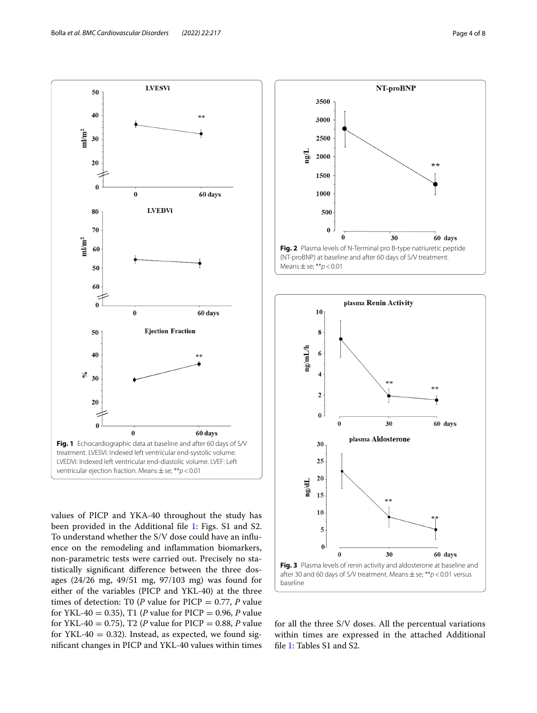

<span id="page-3-0"></span>values of PICP and YKA-40 throughout the study has been provided in the Additional fle [1](#page-5-0): Figs. S1 and S2. To understand whether the S/V dose could have an infuence on the remodeling and infammation biomarkers, non-parametric tests were carried out. Precisely no statistically signifcant diference between the three dosages (24/26 mg, 49/51 mg, 97/103 mg) was found for either of the variables (PICP and YKL-40) at the three times of detection: T0 (*P* value for  $\text{PICP} = 0.77$ , *P* value for YKL-40 = 0.35), T1 (*P* value for PICP = 0.96, *P* value for YKL-40 = 0.75), T2 (*P* value for PICP = 0.88, *P* value for YKL-40 = 0.32). Instead, as expected, we found signifcant changes in PICP and YKL-40 values within times



<span id="page-3-1"></span>

<span id="page-3-2"></span>for all the three S/V doses. All the percentual variations within times are expressed in the attached Additional fle [1](#page-5-0): Tables S1 and S2.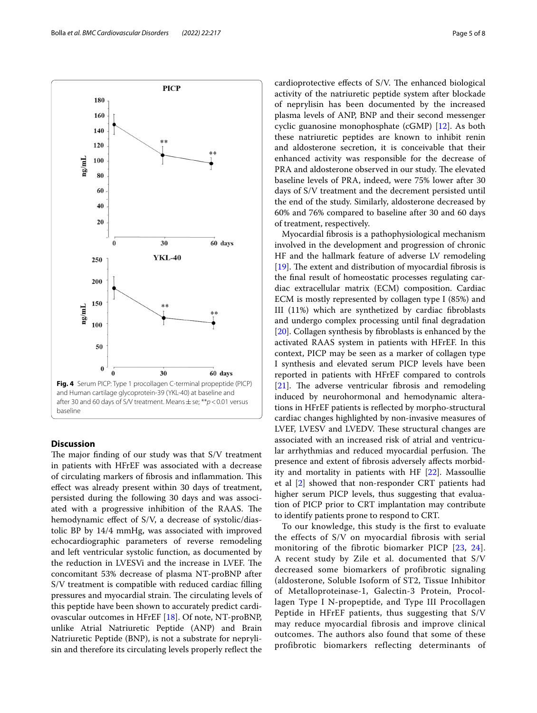Bolla *et al. BMC Cardiovascular Disorders (2022) 22:217* Page 5 of 8



# <span id="page-4-0"></span>**Discussion**

The major finding of our study was that  $S/V$  treatment in patients with HFrEF was associated with a decrease of circulating markers of fibrosis and inflammation. This efect was already present within 30 days of treatment, persisted during the following 30 days and was associated with a progressive inhibition of the RAAS. The hemodynamic efect of S/V, a decrease of systolic/diastolic BP by 14/4 mmHg, was associated with improved echocardiographic parameters of reverse remodeling and left ventricular systolic function, as documented by the reduction in LVESVi and the increase in LVEF. The concomitant 53% decrease of plasma NT-proBNP after S/V treatment is compatible with reduced cardiac flling pressures and myocardial strain. The circulating levels of this peptide have been shown to accurately predict cardiovascular outcomes in HFrEF [\[18](#page-6-17)]. Of note, NT-proBNP, unlike Atrial Natriuretic Peptide (ANP) and Brain Natriuretic Peptide (BNP), is not a substrate for neprylisin and therefore its circulating levels properly refect the cardioprotective effects of S/V. The enhanced biological activity of the natriuretic peptide system after blockade of neprylisin has been documented by the increased plasma levels of ANP, BNP and their second messenger cyclic guanosine monophosphate (cGMP) [\[12](#page-6-11)]. As both these natriuretic peptides are known to inhibit renin and aldosterone secretion, it is conceivable that their enhanced activity was responsible for the decrease of PRA and aldosterone observed in our study. The elevated baseline levels of PRA, indeed, were 75% lower after 30 days of S/V treatment and the decrement persisted until the end of the study. Similarly, aldosterone decreased by 60% and 76% compared to baseline after 30 and 60 days of treatment, respectively.

Myocardial fbrosis is a pathophysiological mechanism involved in the development and progression of chronic HF and the hallmark feature of adverse LV remodeling [ $19$ ]. The extent and distribution of myocardial fibrosis is the fnal result of homeostatic processes regulating cardiac extracellular matrix (ECM) composition. Cardiac ECM is mostly represented by collagen type I (85%) and III (11%) which are synthetized by cardiac fbroblasts and undergo complex processing until fnal degradation [[20\]](#page-6-19). Collagen synthesis by fbroblasts is enhanced by the activated RAAS system in patients with HFrEF. In this context, PICP may be seen as a marker of collagen type I synthesis and elevated serum PICP levels have been reported in patients with HFrEF compared to controls  $[21]$  $[21]$ . The adverse ventricular fibrosis and remodeling induced by neurohormonal and hemodynamic alterations in HFrEF patients is refected by morpho-structural cardiac changes highlighted by non-invasive measures of LVEF, LVESV and LVEDV. These structural changes are associated with an increased risk of atrial and ventricular arrhythmias and reduced myocardial perfusion. The presence and extent of fbrosis adversely afects morbidity and mortality in patients with HF [[22\]](#page-6-21). Massoullie et al [[2\]](#page-6-1) showed that non-responder CRT patients had higher serum PICP levels, thus suggesting that evaluation of PICP prior to CRT implantation may contribute to identify patients prone to respond to CRT.

To our knowledge, this study is the first to evaluate the effects of S/V on myocardial fibrosis with serial monitoring of the fibrotic biomarker PICP [\[23](#page-7-0), [24\]](#page-7-1). A recent study by Zile et al. documented that S/V decreased some biomarkers of profibrotic signaling (aldosterone, Soluble Isoform of ST2, Tissue Inhibitor of Metalloproteinase-1, Galectin-3 Protein, Procollagen Type I N-propeptide, and Type III Procollagen Peptide in HFrEF patients, thus suggesting that S/V may reduce myocardial fibrosis and improve clinical outcomes. The authors also found that some of these profibrotic biomarkers reflecting determinants of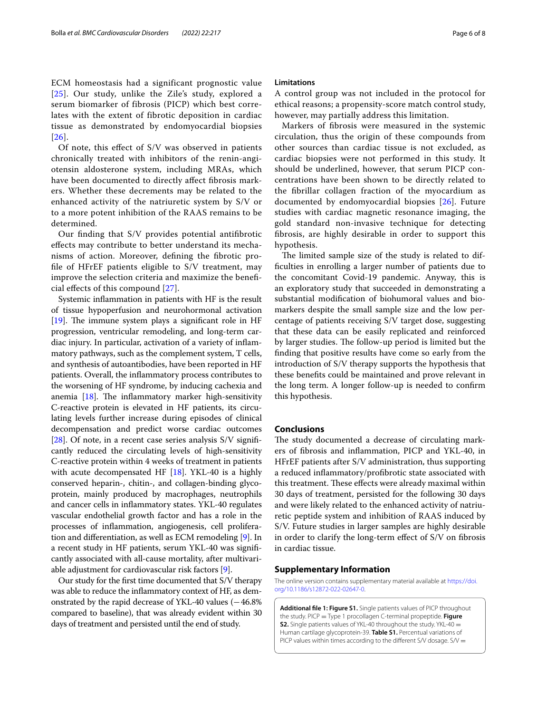ECM homeostasis had a significant prognostic value [[25](#page-7-2)]. Our study, unlike the Zile's study, explored a serum biomarker of fibrosis (PICP) which best correlates with the extent of fibrotic deposition in cardiac tissue as demonstrated by endomyocardial biopsies [[26](#page-7-3)].

Of note, this efect of S/V was observed in patients chronically treated with inhibitors of the renin-angiotensin aldosterone system, including MRAs, which have been documented to directly afect fbrosis markers. Whether these decrements may be related to the enhanced activity of the natriuretic system by S/V or to a more potent inhibition of the RAAS remains to be determined.

Our fnding that S/V provides potential antifbrotic efects may contribute to better understand its mechanisms of action. Moreover, defning the fbrotic profle of HFrEF patients eligible to S/V treatment, may improve the selection criteria and maximize the benefcial efects of this compound [\[27\]](#page-7-4).

Systemic infammation in patients with HF is the result of tissue hypoperfusion and neurohormonal activation [[19\]](#page-6-18). The immune system plays a significant role in HF progression, ventricular remodeling, and long-term cardiac injury. In particular, activation of a variety of infammatory pathways, such as the complement system, T cells, and synthesis of autoantibodies, have been reported in HF patients. Overall, the infammatory process contributes to the worsening of HF syndrome, by inducing cachexia and anemia  $[18]$ . The inflammatory marker high-sensitivity C-reactive protein is elevated in HF patients, its circulating levels further increase during episodes of clinical decompensation and predict worse cardiac outcomes [ $28$ ]. Of note, in a recent case series analysis S/V significantly reduced the circulating levels of high-sensitivity C-reactive protein within 4 weeks of treatment in patients with acute decompensated HF  $[18]$  $[18]$ . YKL-40 is a highly conserved heparin-, chitin-, and collagen-binding glycoprotein, mainly produced by macrophages, neutrophils and cancer cells in infammatory states. YKL-40 regulates vascular endothelial growth factor and has a role in the processes of infammation, angiogenesis, cell proliferation and diferentiation, as well as ECM remodeling [\[9](#page-6-8)]. In a recent study in HF patients, serum YKL-40 was signifcantly associated with all-cause mortality, after multivariable adjustment for cardiovascular risk factors [[9](#page-6-8)].

Our study for the frst time documented that S/V therapy was able to reduce the infammatory context of HF, as demonstrated by the rapid decrease of YKL-40 values (−46.8% compared to baseline), that was already evident within 30 days of treatment and persisted until the end of study.

#### **Limitations**

A control group was not included in the protocol for ethical reasons; a propensity-score match control study, however, may partially address this limitation.

Markers of fbrosis were measured in the systemic circulation, thus the origin of these compounds from other sources than cardiac tissue is not excluded, as cardiac biopsies were not performed in this study. It should be underlined, however, that serum PICP concentrations have been shown to be directly related to the fbrillar collagen fraction of the myocardium as documented by endomyocardial biopsies [[26\]](#page-7-3). Future studies with cardiac magnetic resonance imaging, the gold standard non-invasive technique for detecting fbrosis, are highly desirable in order to support this hypothesis.

The limited sample size of the study is related to diffculties in enrolling a larger number of patients due to the concomitant Covid-19 pandemic. Anyway, this is an exploratory study that succeeded in demonstrating a substantial modifcation of biohumoral values and biomarkers despite the small sample size and the low percentage of patients receiving S/V target dose, suggesting that these data can be easily replicated and reinforced by larger studies. The follow-up period is limited but the fnding that positive results have come so early from the introduction of S/V therapy supports the hypothesis that these benefts could be maintained and prove relevant in the long term. A longer follow-up is needed to confrm this hypothesis.

# **Conclusions**

The study documented a decrease of circulating markers of fbrosis and infammation, PICP and YKL-40, in HFrEF patients after S/V administration, thus supporting a reduced infammatory/profbrotic state associated with this treatment. These effects were already maximal within 30 days of treatment, persisted for the following 30 days and were likely related to the enhanced activity of natriuretic peptide system and inhibition of RAAS induced by S/V. Future studies in larger samples are highly desirable in order to clarify the long-term efect of S/V on fbrosis in cardiac tissue.

# **Supplementary Information**

The online version contains supplementary material available at [https://doi.](https://doi.org/10.1186/s12872-022-02647-0) [org/10.1186/s12872-022-02647-0](https://doi.org/10.1186/s12872-022-02647-0).

<span id="page-5-0"></span>**Additional fle 1: Figure S1.** Single patients values of PICP throughout the study. PICP = Type 1 procollagen C-terminal propeptide. **Figure S2.** Single patients values of YKL-40 throughout the study. YKL-40 = Human cartilage glycoprotein-39. **Table S1.** Percentual variations of PICP values within times according to the different S/V dosage.  $S/V =$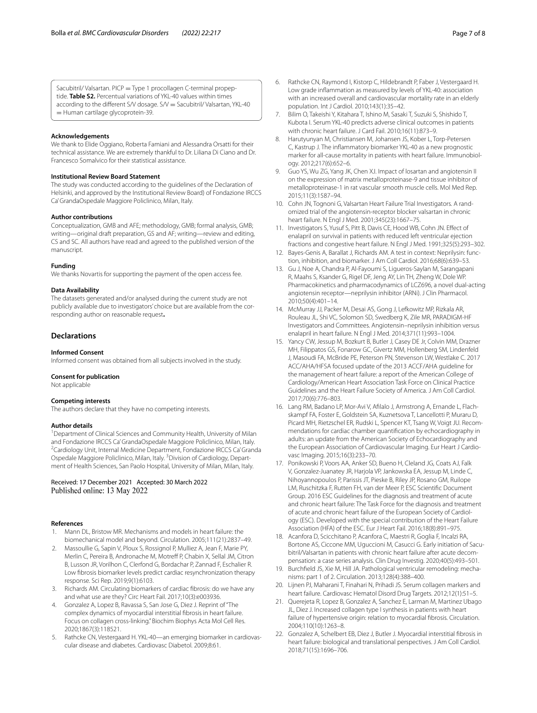Sacubitril/ Valsartan. PICP = Type 1 procollagen C-terminal propeptide. **Table S2.** Percentual variations of YKL-40 values within times according to the different S/V dosage. S/V = Sacubitril/ Valsartan, YKL-40 = Human cartilage glycoprotein-39.

#### **Acknowledgements**

We thank to Elide Oggiano, Roberta Famiani and Alessandra Orsatti for their technical assistance. We are extremely thankful to Dr. Liliana Di Ciano and Dr. Francesco Somalvico for their statistical assistance.

#### **Institutional Review Board Statement**

The study was conducted according to the guidelines of the Declaration of Helsinki, and approved by the Institutional Review Board) of Fondazione IRCCS Ca' GrandaOspedale Maggiore Policlinico, Milan, Italy.

#### **Author contributions**

Conceptualization, GMB and AFE; methodology, GMB; formal analysis, GMB; writing—original draft preparation, GS and AF; writing—review and editing, CS and SC. All authors have read and agreed to the published version of the manuscript.

#### **Funding**

We thanks Novartis for supporting the payment of the open access fee.

#### **Data Availability**

The datasets generated and/or analysed during the current study are not publicly available due to investigators' choice but are available from the corresponding author on reasonable request**.**

# **Declarations**

#### **Informed Consent**

Informed consent was obtained from all subjects involved in the study.

#### **Consent for publication**

Not applicable

#### **Competing interests**

The authors declare that they have no competing interests.

#### **Author details**

<sup>1</sup> Department of Clinical Sciences and Community Health, University of Milan and Fondazione IRCCS Ca' GrandaOspedale Maggiore Policlinico, Milan, Italy. 2 <sup>2</sup> Cardiology Unit, Internal Medicine Department, Fondazione IRCCS Ca' Granda Ospedale Maggiore Policlinico, Milan, Italy. <sup>3</sup> Division of Cardiology, Department of Health Sciences, San Paolo Hospital, University of Milan, Milan, Italy.

## Received: 17 December 2021 Accepted: 30 March 2022 Published online: 13 May 2022

#### **References**

- <span id="page-6-0"></span>Mann DL, Bristow MR. Mechanisms and models in heart failure: the biomechanical model and beyond. Circulation. 2005;111(21):2837–49.
- <span id="page-6-1"></span>2. Massoullie G, Sapin V, Ploux S, Rossignol P, Mulliez A, Jean F, Marie PY, Merlin C, Pereira B, Andronache M, Motreff P, Chabin X, Sellal JM, Citron B, Lusson JR, Vorilhon C, Clerfond G, Bordachar P, Zannad F, Eschalier R. Low fbrosis biomarker levels predict cardiac resynchronization therapy response. Sci Rep. 2019;9(1):6103.
- <span id="page-6-2"></span>3. Richards AM. Circulating biomarkers of cardiac fbrosis: do we have any and what use are they? Circ Heart Fail. 2017;10(3):e003936.
- <span id="page-6-3"></span>4. Gonzalez A, Lopez B, Ravassa S, San Jose G, Diez J. Reprint of "The complex dynamics of myocardial interstitial fbrosis in heart failure. Focus on collagen cross-linking." Biochim Biophys Acta Mol Cell Res. 2020;1867(3):118521.
- <span id="page-6-4"></span>5. Rathcke CN, Vestergaard H. YKL-40—an emerging biomarker in cardiovascular disease and diabetes. Cardiovasc Diabetol. 2009;8:61.
- <span id="page-6-5"></span>6. Rathcke CN, Raymond I, Kistorp C, Hildebrandt P, Faber J, Vestergaard H. Low grade infammation as measured by levels of YKL-40: association with an increased overall and cardiovascular mortality rate in an elderly population. Int J Cardiol. 2010;143(1):35–42.
- <span id="page-6-6"></span>7. Bilim O, Takeishi Y, Kitahara T, Ishino M, Sasaki T, Suzuki S, Shishido T, Kubota I. Serum YKL-40 predicts adverse clinical outcomes in patients with chronic heart failure. J Card Fail. 2010;16(11):873–9.
- <span id="page-6-7"></span>8. Harutyunyan M, Christiansen M, Johansen JS, Kober L, Torp-Petersen C, Kastrup J. The infammatory biomarker YKL-40 as a new prognostic marker for all-cause mortality in patients with heart failure. Immunobiology. 2012;217(6):652–6.
- <span id="page-6-8"></span>9. Guo YS, Wu ZG, Yang JK, Chen XJ. Impact of losartan and angiotensin II on the expression of matrix metalloproteinase-9 and tissue inhibitor of metalloproteinase-1 in rat vascular smooth muscle cells. Mol Med Rep. 2015;11(3):1587–94.
- <span id="page-6-9"></span>10. Cohn JN, Tognoni G, Valsartan Heart Failure Trial Investigators. A randomized trial of the angiotensin-receptor blocker valsartan in chronic heart failure. N Engl J Med. 2001;345(23):1667–75.
- <span id="page-6-10"></span>11. Investigators S, Yusuf S, Pitt B, Davis CE, Hood WB, Cohn JN. Efect of enalapril on survival in patients with reduced left ventricular ejection fractions and congestive heart failure. N Engl J Med. 1991;325(5):293–302.
- <span id="page-6-11"></span>12. Bayes-Genis A, Barallat J, Richards AM. A test in context: Neprilysin: function, inhibition, and biomarker. J Am Coll Cardiol. 2016;68(6):639–53.
- <span id="page-6-12"></span>13. Gu J, Noe A, Chandra P, Al-Fayoumi S, Ligueros-Saylan M, Sarangapani R, Maahs S, Ksander G, Rigel DF, Jeng AY, Lin TH, Zheng W, Dole WP. Pharmacokinetics and pharmacodynamics of LCZ696, a novel dual-acting angiotensin receptor—neprilysin inhibitor (ARNi). J Clin Pharmacol. 2010;50(4):401–14.
- <span id="page-6-13"></span>14. McMurray JJ, Packer M, Desai AS, Gong J, Lefkowitz MP, Rizkala AR, Rouleau JL, Shi VC, Solomon SD, Swedberg K, Zile MR, PARADIGM-HF Investigators and Committees. Angiotensin–neprilysin inhibition versus enalapril in heart failure. N Engl J Med. 2014;371(11):993–1004.
- <span id="page-6-14"></span>15. Yancy CW, Jessup M, Bozkurt B, Butler J, Casey DE Jr, Colvin MM, Drazner MH, Filippatos GS, Fonarow GC, Givertz MM, Hollenberg SM, Lindenfeld J, Masoudi FA, McBride PE, Peterson PN, Stevenson LW, Westlake C. 2017 ACC/AHA/HFSA focused update of the 2013 ACCF/AHA guideline for the management of heart failure: a report of the American College of Cardiology/American Heart Association Task Force on Clinical Practice Guidelines and the Heart Failure Society of America. J Am Coll Cardiol. 2017;70(6):776–803.
- <span id="page-6-15"></span>16. Lang RM, Badano LP, Mor-Avi V, Aflalo J, Armstrong A, Ernande L, Flachskampf FA, Foster E, Goldstein SA, Kuznetsova T, Lancellotti P, Muraru D, Picard MH, Rietzschel ER, Rudski L, Spencer KT, Tsang W, Voigt JU. Recommendations for cardiac chamber quantifcation by echocardiography in adults: an update from the American Society of Echocardiography and the European Association of Cardiovascular Imaging. Eur Heart J Cardiovasc Imaging. 2015;16(3):233–70.
- <span id="page-6-16"></span>17. Ponikowski P, Voors AA, Anker SD, Bueno H, Cleland JG, Coats AJ, Falk V, Gonzalez-Juanatey JR, Harjola VP, Jankowska EA, Jessup M, Linde C, Nihoyannopoulos P, Parissis JT, Pieske B, Riley JP, Rosano GM, Ruilope LM, Ruschitzka F, Rutten FH, van der Meer P, ESC Scientifc Document Group. 2016 ESC Guidelines for the diagnosis and treatment of acute and chronic heart failure: The Task Force for the diagnosis and treatment of acute and chronic heart failure of the European Society of Cardiology (ESC). Developed with the special contribution of the Heart Failure Association (HFA) of the ESC. Eur J Heart Fail. 2016;18(8):891–975.
- <span id="page-6-17"></span>18. Acanfora D, Scicchitano P, Acanfora C, Maestri R, Goglia F, Incalzi RA, Bortone AS, Ciccone MM, Uguccioni M, Casucci G. Early initiation of Sacubitril/Valsartan in patients with chronic heart failure after acute decompensation: a case series analysis. Clin Drug Investig. 2020;40(5):493–501.
- <span id="page-6-18"></span>19. Burchfeld JS, Xie M, Hill JA. Pathological ventricular remodeling: mechanisms: part 1 of 2. Circulation. 2013;128(4):388–400.
- <span id="page-6-19"></span>20. Lijnen PJ, Maharani T, Finahari N, Prihadi JS. Serum collagen markers and heart failure. Cardiovasc Hematol Disord Drug Targets. 2012;12(1):51–5.
- <span id="page-6-20"></span>21. Querejeta R, Lopez B, Gonzalez A, Sanchez E, Larman M, Martinez Ubago JL, Diez J. Increased collagen type I synthesis in patients with heart failure of hypertensive origin: relation to myocardial fbrosis. Circulation. 2004;110(10):1263–8.
- <span id="page-6-21"></span>22. Gonzalez A, Schelbert EB, Diez J, Butler J. Myocardial interstitial fbrosis in heart failure: biological and translational perspectives. J Am Coll Cardiol. 2018;71(15):1696–706.